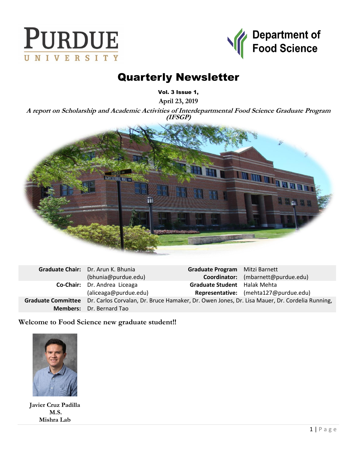



# Quarterly Newsletter

Vol. 3 Issue 1,

**April 23, 2019**

**A report on Scholarship and Academic Activities of Interdepartmental Food Science Graduate Program (IFSGP)**



| Graduate Chair: Dr. Arun K. Bhunia                                                                               | Graduate Program Mitzi Barnett |                                       |
|------------------------------------------------------------------------------------------------------------------|--------------------------------|---------------------------------------|
| (bhunia@purdue.edu)                                                                                              |                                | Coordinator: (mbarnett@purdue.edu)    |
| Co-Chair: Dr. Andrea Liceaga                                                                                     | Graduate Student Halak Mehta   |                                       |
| (aliceaga@purdue.edu)                                                                                            |                                | Representative: (mehta127@purdue.edu) |
| Graduate Committee Dr. Carlos Corvalan, Dr. Bruce Hamaker, Dr. Owen Jones, Dr. Lisa Mauer, Dr. Cordelia Running, |                                |                                       |
| <b>Members:</b> Dr. Bernard Tao                                                                                  |                                |                                       |

**Welcome to Food Science new graduate student!!**



**Javier Cruz Padilla M.S. Mishra Lab**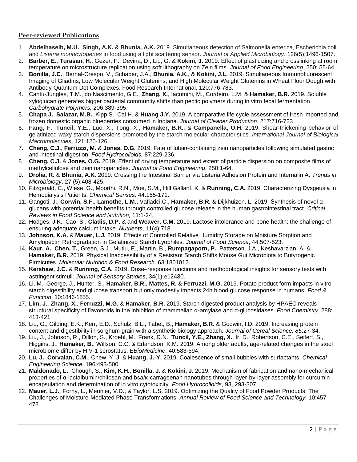## **Peer-reviewed Publications**

- 1. **Abdelhaseib, M.U.**, **Singh, A.K.** & **Bhunia, A.K.** 2019. Simultaneous detection of Salmonella enterica, Escherichia coli, and *Listeria monocytogenes* in food using a light scattering sensor. *Journal of Applied Microbiology*. 126(5):1496-1507.
- 2. **Barber, E.**, **Turasan, H.**, Gezer, P., Devina, D., Liu, G. & **Kokini, J.** 2019. Effect of plasticizing and crosslinking at room temperature on microstructure replication using soft lithography on Zein films. *Journal of Food Engineering*, 250: 55-64.
- 3. **Bonilla, J.C.**, Bernal-Crespo, V., Schaber, J.A., **Bhunia, A.K.**, & **Kokini, J.L.** 2019. Simultaneous Immunofluorescent Imaging of Gliadins, Low Molecular Weight Glutenins, and High Molecular Weight Glutenins in Wheat Flour Dough with Antibody-Quantum Dot Complexes. Food Research International, 120:776-783.
- 4. Cantu-Jungles, T.M., do Nascimento, G.E., **Zhang, X.**, Iacomini, M., Cordeiro, L.M. & **Hamaker, B.R.** 2019. Soluble xyloglucan generates bigger bacterial community shifts than pectic polymers during in vitro fecal fermentation. *Carbohydrate Polymers,* 206:389-395.
- 5. **Chapa J.**, **Salazar, M.B.**, Kipp S., Cai H. & **Huang J.Y.** 2019. A comparative life cycle assessment of fresh imported and frozen domestic organic blueberries consumed in Indiana. *Journal of Cleaner Production.* 217:716-723
- 6. **Fang, F.**, **Tuncil, Y.E.**, Luo, X., Tong, X., **Hamaker, B.R.**, & **Campanella, O.H.** 2019. Shear-thickening behavior of gelatinized waxy starch dispersions promoted by the starch molecular characteristics. *International Journal of Biological Macromolecules*, 121:120-126
- 7. **Cheng, C.J.**, **Ferruzzi, M.** & **Jones, O.G.** 2019. Fate of lutein-containing zein nanoparticles following simulated gastric and intestinal digestion. *Food Hydrocolloids,* 87:229-236.
- 8. **Cheng, C.J.** & **Jones, O.G.** 2019. Effect of drying temperature and extent of particle dispersion on composite films of methylcellulose and zein nanoparticles. *Journal of Food Engineering*, 250:1-64.
- 9. **Drolia, R.** & **Bhunia, A.K.** 2019. Crossing the Intestinal Barrier via Listeria Adhesion Protein and Internalin A. *Trends in Microbiology*. 27 (5):408-425.
- 10. Fitzgerald, C., Wiese, G., Moorthi, R.N., Moe, S.M., Hill Gallant, K. & **Running, C.A.** 2019. Characterizing Dysgeusia in Hemodialysis Patients. *Chemical Senses,* 44:165-171.
- 11. Gangoti, J., **Corwin, S.F.**, **Lamothe, L.M.**, Vafiadci.C., **Hamaker, B.R.** & Dijkhuizen. L. 2019. Synthesis of novel αglucans with potential health benefits through controlled glucose release in the human gastrointestinal tract. *Critical Reviews in Food Science and Nutrition,* 11:1-24.
- 12. Hodges, J.K., Cao, S., **Cladis, D.P.** & and **Weaver, C.M.** 2019. Lactose intolerance and bone health: the challenge of ensuring adequate calcium intake. *Nutrients*, 11(4):718.
- 13. **Johnson, K.A.** & **Mauer, L.J.** 2019. Effects of Controlled Relative Humidity Storage on Moisture Sorption and Amylopectin Retrogradation in Gelatinized Starch Lyophiles. *Journal of Food Science*, 44:507-523.
- 14. **Kaur, A.**, **Chen, T.**, Green, S.J., Mutlu, E., Martin, B., **Rumpagaporn, P.**, Patterson, J.A., Keshavarzian, A. & **Hamaker, B.R.** 2019. Physical Inaccessibility of a Resistant Starch Shifts Mouse Gut Microbiota to Butyrogenic Firmicutes. *Molecular Nutrition & Food Research*. 63:1801012.
- 15. **Kershaw, J.C.** & **Running, C.A.** 2019. Dose–response functions and methodological insights for sensory tests with astringent stimuli. *Journal of Sensory Studies*, 34(1):e12480.
- 16. Li, M., George, J., Hunter, S., **Hamaker, B.R.**, **Mattes, R.** & **Ferruzzi, M.G.** 2019. Potato product form impacts in vitro starch digestibility and glucose transport but only modestly impacts 24h blood glucose response in humans. *Food & Function*. 10:1846-1855.
- 17. **Lim, J.**, **Zhang, X.**, **Ferruzzi, M.G.** & **Hamaker, B.R.** 2019. Starch digested product analysis by HPAEC reveals structural specificity of flavonoids in the inhibition of mammalian α-amylase and α-glucosidases. *Food Chemistry*, 288: 413-421.
- 18. Liu, G., Gilding, E.K., Kerr, E.D., Schulz, B.L., Tabet, B., **Hamaker, B.R.** & Godwin, I.D. 2019. Increasing protein content and digestibility in sorghum grain with a synthetic biology approach. *Journal of Cereal Science, 85*:27-34.
- 19. Liu, J., Johnson, R., Dillon, S., Kroehl, M., Frank, D.N., **Tuncil, Y.E.**, **Zhang, X.**, Ir, D., Robertson, C.E., Seifert, S., Higgins, J., **Hamaker, B.**, Willson, C.C. & Erlandson, K.M. 2019. Among older adults, age-related changes in the stool microbiome differ by HIV-1 serostatus. *EBioMedicine*, 40:583-694.
- 20. **Lu, J.**, **Corvalan, C.M.**, Chew, Y. J. & **Huang, J.-Y.** 2019. Coalescence of small bubbles with surfactants. *Chemical Engineering Science,* 196:493-500.
- 21. **Maldonado, L.**, Chough, S., **Kim, K.H.**, **Bonilla, J.** & **Kokini, J.** 2019. Mechanism of fabrication and nano-mechanical properties of α-lactalbumin/chitosan and bsa/κ-carrageenan nanotubes through layer-by-layer assembly for curcumin encapsulation and determination of in vitro cytotoxicity. *Food Hydrocolloids*, 93, 293-307.
- 22. **Mauer, L.J.**, Forny, L., Meunier, V.D., & Taylor, L.S. 2019. Optimizing the Quality of Food Powder Products: The Challenges of Moisture-Mediated Phase Transformations. *Annual Review of Food Science and Technology,* 10:457- 478*.*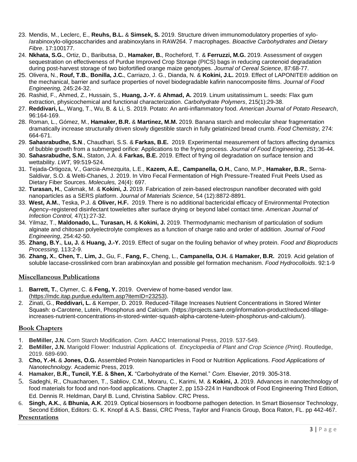- 23. Mendis, M., Leclerc, E., **Reuhs, B.L.** & **Simsek, S.** 2019. Structure driven immunomodulatory properties of xylo- /arabinoxylo-oligosaccharides and arabinoxylans in RAW264. 7 macrophages. *Bioactive Carbohydrates and Dietary Fibre*. 17:100177.
- 24. **Nkhata, S.G.**, Ortiz, D., Baributsa, D., **Hamaker, B.**, Rocheford, T. & **Ferruzzi, M.G.** 2019. Assessment of oxygen sequestration on effectiveness of Purdue Improved Crop Storage (PICS) bags in reducing carotenoid degradation during post-harvest storage of two biofortified orange maize genotypes. *Journal of Cereal Science*, 87:68-77.
- 25. Olivera, N., **Rouf, T.B.**, **Bonilla, J.C.**, Carriazo, J. G., Dianda, N. & **Kokini, J.L.** 2019. Effect of LAPONITE® addition on the mechanical, barrier and surface properties of novel biodegradable kafirin nanocomposite films. *Journal of Food Engineering,* 245:24-32.
- 26. Rashid, F., Ahmed, Z., Hussain, S., **Huang, J.-Y.** & **Ahmad, A.** 2019. Linum usitatissimum L. seeds: Flax gum extraction, physicochemical and functional characterization. *Carbohydrate Polymers*, 215(1):29-38.
- 27. **Reddivari, L.**, Wang, T., Wu, B. & Li, S. 2019. Potato: An anti-inflammatory food. *American Journal of Potato Research*, 96:164-169.
- 28. Roman, L., Gómez, M., **Hamaker, B.R.** & **Martinez, M.M.** 2019. Banana starch and molecular shear fragmentation dramatically increase structurally driven slowly digestible starch in fully gelatinized bread crumb. *Food Chemistry,* 274: 664-671.
- 29. **Sahasrabudhe, S.N**., Chaudhari, S.S. & **Farkas, B.E.** 2019. Experimental measurement of factors affecting dynamics of bubble growth from a submerged orifice: Applications to the frying process. *Journal of Food Engineering*, 251:36-44.
- 30. **Sahasrabudhe, S.N.**, Staton, J.A. & **Farkas, B.E.** 2019. Effect of frying oil degradation on surface tension and wettability. *LWT,* 99:519-524.
- 31. Tejada-Ortigoza, V., Garcia-Amezquita, L.E., **Kazem, A.E.**, **Campanella, O.H.**, Cano, M.P., **Hamaker, B.R.**, Serna-Saldivar, S.O. & Welti-Chanes, J. 2019. In Vitro Fecal Fermentation of High Pressure-Treated Fruit Peels Used as Dietary Fiber Sources. *Molecules,* 24(4): 697.
- 32. **Turasan, H.**, Cakmak, M. & **Kokini, J.** 2019. Fabrication of zein-based electrospun nanofiber decorated with gold nanoparticles as a SERS platform. *Journal of Materials Science*, 54 (12):8872-8891.
- 33. **West, A.M.**, Teska, P.J. & **Oliver, H.F.** 2019. There is no additional bactericidal efficacy of Environmental Protection Agency–registered disinfectant towelettes after surface drying or beyond label contact time. *American Journal of Infection Control,* 47(1):27-32.
- 34. Yilmaz, T., **Maldonado, L.**, **Turasan, H.** & **Kokini, J.** 2019. Thermodynamic mechanism of particulation of sodium alginate and chitosan polyelectrolyte complexes as a function of charge ratio and order of addition. *Journal of Food Engineering*, 254:42-50.
- 35. **Zhang, B.Y.**, **Lu, J.** & **Huang, J.-Y.** 2019. Effect of sugar on the fouling behavior of whey protein. *Food and Bioproducts Processing,* 113:2-9.
- 36. **Zhang, X.**, **Chen, T.**, **Lim, J.**, Gu, F., **Fang, F.**, Cheng, L., **Campanella, O.H.** & **Hamaker, B.R.** 2019. Acid gelation of soluble laccase-crosslinked corn bran arabinoxylan and possible gel formation mechanism. *Food Hydrocolloids*. 92:1-9

### **Miscellaneous Publications**

- 1. **Barrett, T.**, Clymer, C. & **Feng, Y.** 2019. Overview of home-based vendor law. [\(https://mdc.itap.purdue.edu/item.asp?itemID=23253\)](https://mdc.itap.purdue.edu/item.asp?itemID=23253).
- 2. Zinati, G., **Reddivari, L.** & Kemper, D. 2019. Reduced-Tillage Increases Nutrient Concentrations in Stored Winter Squash: α-Carotene, Lutein, Phosphorus and Calcium. [\(https://projects.sare.org/information-product/reduced-tillage](https://projects.sare.org/information-product/reduced-tillage-increases-nutrient-concentrations-in-stored-winter-squash-alpha-carotene-lutein-phosphorus-and-calcium/)[increases-nutrient-concentrations-in-stored-winter-squash-alpha-carotene-lutein-phosphorus-and-calcium/\)](https://projects.sare.org/information-product/reduced-tillage-increases-nutrient-concentrations-in-stored-winter-squash-alpha-carotene-lutein-phosphorus-and-calcium/).

### **Book Chapters**

- 1. **BeMiller, J.N.** Corn Starch Modification. *Corn*. AACC International Press, 2019. 537-549.
- 2. **BeMiller, J.N.** Marigold Flower: Industrial Applications of. *Encyclopedia of Plant and Crop Science (Print)*. Routledge, 2019. 689-690.
- 3. **Cho, Y.-H.** & **Jones, O.G.** Assembled Protein Nanoparticles in Food or Nutrition Applications. *Food Applications of Nanotechnology.* Academic Press, 2019.
- 4. **Hamaker, B.R., Tuncil, Y.E.** & **Shen, X.** "Carbohydrate of the Kernel." *Corn.* Elsevier, 2019. 305-318.
- 5. Sadeghi, R., Chuacharoen, T., Sabliov, C.M., Moraru, C., Karimi, M. & **Kokini, J.** 2019. Advances in nanotechnology of food materials for food and non-food applications. Chapter 2, pp 153-224 In Handbook of Food Engineering Third Edition, Ed. Dennis R. Heldman, Daryl B. Lund, Christina Sabliov. CRC Press.
- 6. **Singh, A.K.**, & **Bhunia, A.K**. 2019. Optical biosensors in foodborne pathogen detection. In Smart Biosensor Technology, Second Edition, Editors: G. K. Knopf & A.S. Bassi, CRC Press, Taylor and Francis Group, Boca Raton, FL. pp 442-467.

# **Presentations**